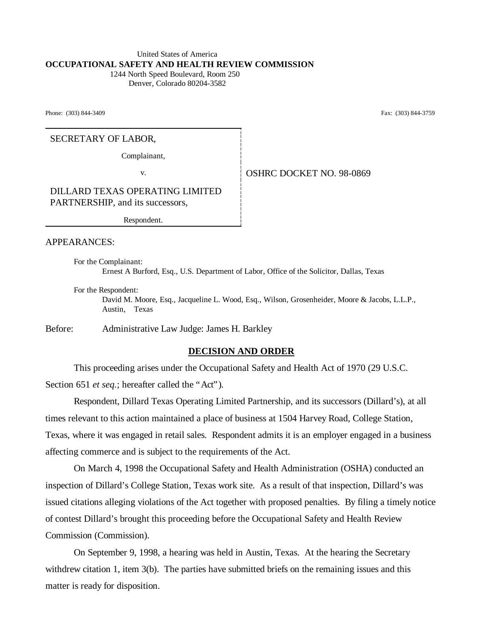#### United States of America **OCCUPATIONAL SAFETY AND HEALTH REVIEW COMMISSION** 1244 North Speed Boulevard, Room 250

Denver, Colorado 80204-3582

Phone: (303) 844-3409 Fax: (303) 844-3759

### SECRETARY OF LABOR,

Complainant,

v. Same **OSHRC DOCKET NO. 98-0869** 

DILLARD TEXAS OPERATING LIMITED PARTNERSHIP, and its successors,

Respondent.

#### APPEARANCES:

For the Complainant: Ernest A Burford, Esq., U.S. Department of Labor, Office of the Solicitor, Dallas, Texas

For the Respondent:

David M. Moore, Esq., Jacqueline L. Wood, Esq., Wilson, Grosenheider, Moore & Jacobs, L.L.P., Austin, Texas

Before: Administrative Law Judge: James H. Barkley

### **DECISION AND ORDER**

This proceeding arises under the Occupational Safety and Health Act of 1970 (29 U.S.C. Section 651 *et seq.*; hereafter called the "Act").

Respondent, Dillard Texas Operating Limited Partnership, and its successors (Dillard's), at all times relevant to this action maintained a place of business at 1504 Harvey Road, College Station, Texas, where it was engaged in retail sales. Respondent admits it is an employer engaged in a business affecting commerce and is subject to the requirements of the Act.

On March 4, 1998 the Occupational Safety and Health Administration (OSHA) conducted an inspection of Dillard's College Station, Texas work site. As a result of that inspection, Dillard's was issued citations alleging violations of the Act together with proposed penalties. By filing a timely notice of contest Dillard's brought this proceeding before the Occupational Safety and Health Review Commission (Commission).

On September 9, 1998, a hearing was held in Austin, Texas. At the hearing the Secretary withdrew citation 1, item 3(b). The parties have submitted briefs on the remaining issues and this matter is ready for disposition.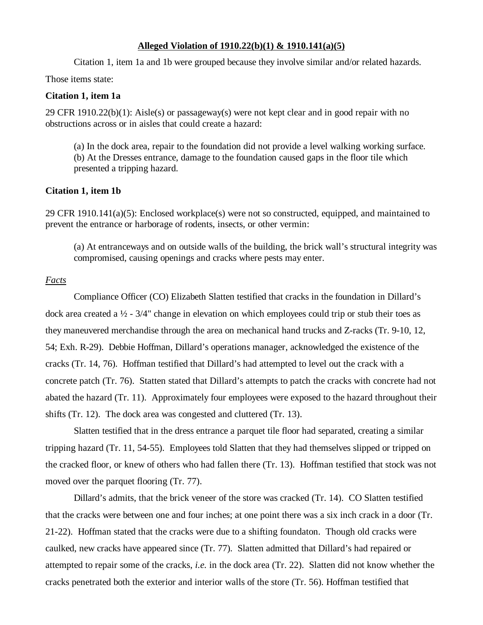#### **Alleged Violation of 1910.22(b)(1) & 1910.141(a)(5)**

Citation 1, item 1a and 1b were grouped because they involve similar and/or related hazards.

Those items state:

## **Citation 1, item 1a**

29 CFR 1910.22(b)(1): Aisle(s) or passageway(s) were not kept clear and in good repair with no obstructions across or in aisles that could create a hazard:

(a) In the dock area, repair to the foundation did not provide a level walking working surface. (b) At the Dresses entrance, damage to the foundation caused gaps in the floor tile which presented a tripping hazard.

### **Citation 1, item 1b**

29 CFR 1910.141(a)(5): Enclosed workplace(s) were not so constructed, equipped, and maintained to prevent the entrance or harborage of rodents, insects, or other vermin:

(a) At entranceways and on outside walls of the building, the brick wall's structural integrity was compromised, causing openings and cracks where pests may enter.

### *Facts*

Compliance Officer (CO) Elizabeth Slatten testified that cracks in the foundation in Dillard's dock area created a  $\frac{1}{2}$  - 3/4" change in elevation on which employees could trip or stub their toes as they maneuvered merchandise through the area on mechanical hand trucks and Z-racks (Tr. 9-10, 12, 54; Exh. R-29). Debbie Hoffman, Dillard's operations manager, acknowledged the existence of the cracks (Tr. 14, 76). Hoffman testified that Dillard's had attempted to level out the crack with a concrete patch (Tr. 76). Statten stated that Dillard's attempts to patch the cracks with concrete had not abated the hazard (Tr. 11). Approximately four employees were exposed to the hazard throughout their shifts (Tr. 12). The dock area was congested and cluttered (Tr. 13).

Slatten testified that in the dress entrance a parquet tile floor had separated, creating a similar tripping hazard (Tr. 11, 54-55). Employees told Slatten that they had themselves slipped or tripped on the cracked floor, or knew of others who had fallen there (Tr. 13). Hoffman testified that stock was not moved over the parquet flooring (Tr. 77).

Dillard's admits, that the brick veneer of the store was cracked (Tr. 14). CO Slatten testified that the cracks were between one and four inches; at one point there was a six inch crack in a door (Tr. 21-22). Hoffman stated that the cracks were due to a shifting foundaton. Though old cracks were caulked, new cracks have appeared since (Tr. 77). Slatten admitted that Dillard's had repaired or attempted to repair some of the cracks, *i.e.* in the dock area (Tr. 22). Slatten did not know whether the cracks penetrated both the exterior and interior walls of the store (Tr. 56). Hoffman testified that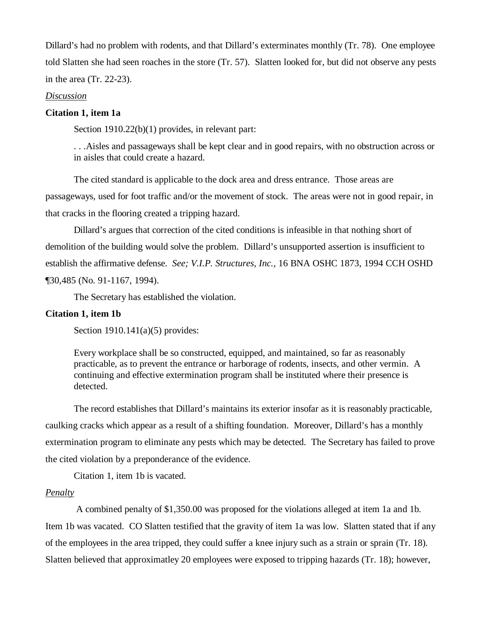Dillard's had no problem with rodents, and that Dillard's exterminates monthly (Tr. 78). One employee told Slatten she had seen roaches in the store (Tr. 57). Slatten looked for, but did not observe any pests in the area (Tr. 22-23).

#### *Discussion*

### **Citation 1, item 1a**

Section 1910.22(b)(1) provides, in relevant part:

. . .Aisles and passageways shall be kept clear and in good repairs, with no obstruction across or in aisles that could create a hazard.

The cited standard is applicable to the dock area and dress entrance. Those areas are passageways, used for foot traffic and/or the movement of stock. The areas were not in good repair, in that cracks in the flooring created a tripping hazard.

Dillard's argues that correction of the cited conditions is infeasible in that nothing short of demolition of the building would solve the problem. Dillard's unsupported assertion is insufficient to establish the affirmative defense. *See; V.I.P. Structures, Inc.,* 16 BNA OSHC 1873, 1994 CCH OSHD ¶30,485 (No. 91-1167, 1994).

The Secretary has established the violation.

### **Citation 1, item 1b**

Section 1910.141(a)(5) provides:

Every workplace shall be so constructed, equipped, and maintained, so far as reasonably practicable, as to prevent the entrance or harborage of rodents, insects, and other vermin. A continuing and effective extermination program shall be instituted where their presence is detected.

The record establishes that Dillard's maintains its exterior insofar as it is reasonably practicable, caulking cracks which appear as a result of a shifting foundation. Moreover, Dillard's has a monthly extermination program to eliminate any pests which may be detected. The Secretary has failed to prove the cited violation by a preponderance of the evidence.

Citation 1, item 1b is vacated.

## *Penalty*

 A combined penalty of \$1,350.00 was proposed for the violations alleged at item 1a and 1b. Item 1b was vacated. CO Slatten testified that the gravity of item 1a was low. Slatten stated that if any of the employees in the area tripped, they could suffer a knee injury such as a strain or sprain (Tr. 18). Slatten believed that approximatley 20 employees were exposed to tripping hazards (Tr. 18); however,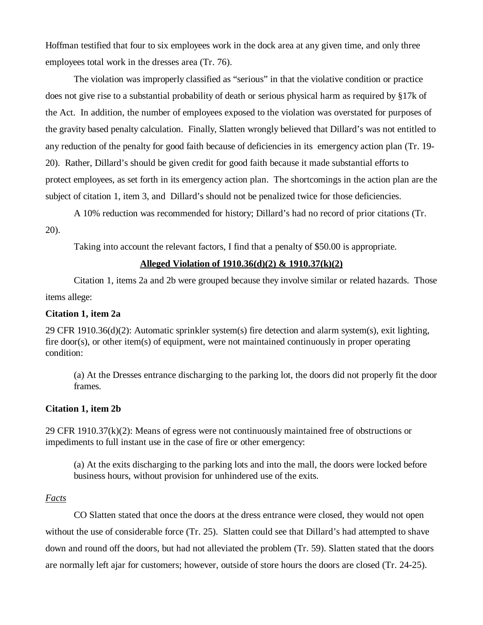Hoffman testified that four to six employees work in the dock area at any given time, and only three employees total work in the dresses area (Tr. 76).

The violation was improperly classified as "serious" in that the violative condition or practice does not give rise to a substantial probability of death or serious physical harm as required by §17k of the Act. In addition, the number of employees exposed to the violation was overstated for purposes of the gravity based penalty calculation. Finally, Slatten wrongly believed that Dillard's was not entitled to any reduction of the penalty for good faith because of deficiencies in its emergency action plan (Tr. 19- 20). Rather, Dillard's should be given credit for good faith because it made substantial efforts to protect employees, as set forth in its emergency action plan. The shortcomings in the action plan are the subject of citation 1, item 3, and Dillard's should not be penalized twice for those deficiencies.

A 10% reduction was recommended for history; Dillard's had no record of prior citations (Tr.

20).

Taking into account the relevant factors, I find that a penalty of \$50.00 is appropriate.

## **Alleged Violation of 1910.36(d)(2) & 1910.37(k)(2)**

Citation 1, items 2a and 2b were grouped because they involve similar or related hazards. Those items allege:

### **Citation 1, item 2a**

29 CFR 1910.36(d)(2): Automatic sprinkler system(s) fire detection and alarm system(s), exit lighting, fire door(s), or other item(s) of equipment, were not maintained continuously in proper operating condition:

(a) At the Dresses entrance discharging to the parking lot, the doors did not properly fit the door frames.

### **Citation 1, item 2b**

29 CFR 1910.37 $(k)(2)$ : Means of egress were not continuously maintained free of obstructions or impediments to full instant use in the case of fire or other emergency:

(a) At the exits discharging to the parking lots and into the mall, the doors were locked before business hours, without provision for unhindered use of the exits.

### *Facts*

CO Slatten stated that once the doors at the dress entrance were closed, they would not open without the use of considerable force (Tr. 25). Slatten could see that Dillard's had attempted to shave down and round off the doors, but had not alleviated the problem (Tr. 59). Slatten stated that the doors are normally left ajar for customers; however, outside of store hours the doors are closed (Tr. 24-25).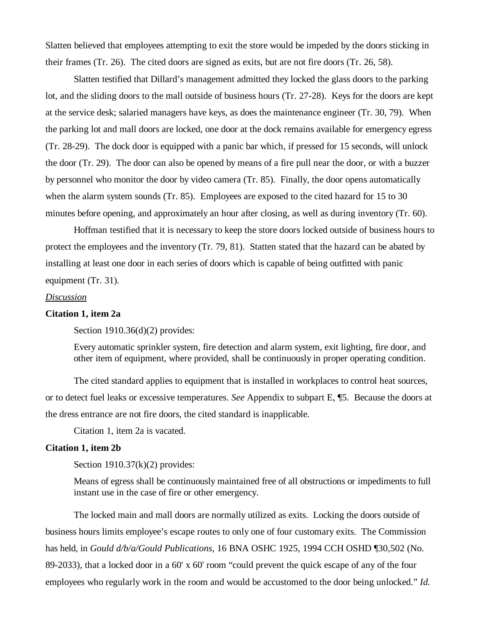Slatten believed that employees attempting to exit the store would be impeded by the doors sticking in their frames (Tr. 26). The cited doors are signed as exits, but are not fire doors (Tr. 26, 58).

Slatten testified that Dillard's management admitted they locked the glass doors to the parking lot, and the sliding doors to the mall outside of business hours (Tr. 27-28). Keys for the doors are kept at the service desk; salaried managers have keys, as does the maintenance engineer (Tr. 30, 79). When the parking lot and mall doors are locked, one door at the dock remains available for emergency egress (Tr. 28-29). The dock door is equipped with a panic bar which, if pressed for 15 seconds, will unlock the door (Tr. 29). The door can also be opened by means of a fire pull near the door, or with a buzzer by personnel who monitor the door by video camera (Tr. 85). Finally, the door opens automatically when the alarm system sounds (Tr. 85). Employees are exposed to the cited hazard for 15 to 30 minutes before opening, and approximately an hour after closing, as well as during inventory (Tr. 60).

Hoffman testified that it is necessary to keep the store doors locked outside of business hours to protect the employees and the inventory (Tr. 79, 81). Statten stated that the hazard can be abated by installing at least one door in each series of doors which is capable of being outfitted with panic equipment (Tr. 31).

#### *Discussion*

### **Citation 1, item 2a**

Section 1910.36(d)(2) provides:

Every automatic sprinkler system, fire detection and alarm system, exit lighting, fire door, and other item of equipment, where provided, shall be continuously in proper operating condition.

The cited standard applies to equipment that is installed in workplaces to control heat sources, or to detect fuel leaks or excessive temperatures. *See* Appendix to subpart E, ¶5. Because the doors at the dress entrance are not fire doors, the cited standard is inapplicable.

Citation 1, item 2a is vacated.

#### **Citation 1, item 2b**

Section  $1910.37(k)(2)$  provides:

Means of egress shall be continuously maintained free of all obstructions or impediments to full instant use in the case of fire or other emergency.

The locked main and mall doors are normally utilized as exits. Locking the doors outside of business hours limits employee's escape routes to only one of four customary exits. The Commission has held, in *Gould d/b/a/Gould Publications*, 16 BNA OSHC 1925, 1994 CCH OSHD ¶30,502 (No. 89-2033), that a locked door in a 60' x 60' room "could prevent the quick escape of any of the four employees who regularly work in the room and would be accustomed to the door being unlocked." *Id.*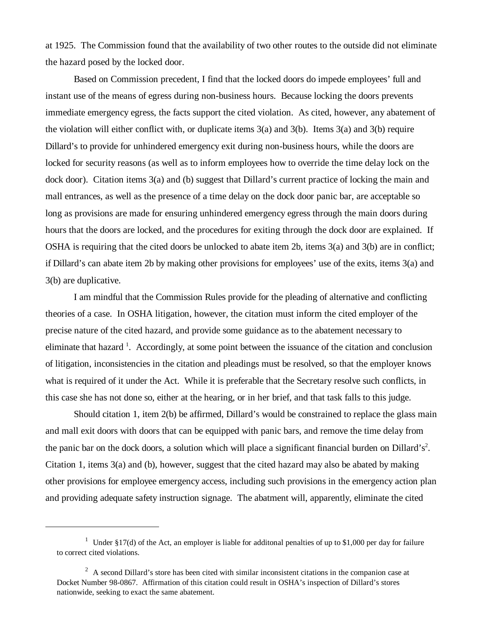at 1925. The Commission found that the availability of two other routes to the outside did not eliminate the hazard posed by the locked door.

Based on Commission precedent, I find that the locked doors do impede employees' full and instant use of the means of egress during non-business hours. Because locking the doors prevents immediate emergency egress, the facts support the cited violation. As cited, however, any abatement of the violation will either conflict with, or duplicate items 3(a) and 3(b). Items 3(a) and 3(b) require Dillard's to provide for unhindered emergency exit during non-business hours, while the doors are locked for security reasons (as well as to inform employees how to override the time delay lock on the dock door). Citation items 3(a) and (b) suggest that Dillard's current practice of locking the main and mall entrances, as well as the presence of a time delay on the dock door panic bar, are acceptable so long as provisions are made for ensuring unhindered emergency egress through the main doors during hours that the doors are locked, and the procedures for exiting through the dock door are explained. If OSHA is requiring that the cited doors be unlocked to abate item 2b, items 3(a) and 3(b) are in conflict; if Dillard's can abate item 2b by making other provisions for employees' use of the exits, items 3(a) and 3(b) are duplicative.

I am mindful that the Commission Rules provide for the pleading of alternative and conflicting theories of a case. In OSHA litigation, however, the citation must inform the cited employer of the precise nature of the cited hazard, and provide some guidance as to the abatement necessary to eliminate that hazard<sup>1</sup>. Accordingly, at some point between the issuance of the citation and conclusion of litigation, inconsistencies in the citation and pleadings must be resolved, so that the employer knows what is required of it under the Act. While it is preferable that the Secretary resolve such conflicts, in this case she has not done so, either at the hearing, or in her brief, and that task falls to this judge.

Should citation 1, item 2(b) be affirmed, Dillard's would be constrained to replace the glass main and mall exit doors with doors that can be equipped with panic bars, and remove the time delay from the panic bar on the dock doors, a solution which will place a significant financial burden on Dillard's<sup>2</sup>. Citation 1, items 3(a) and (b), however, suggest that the cited hazard may also be abated by making other provisions for employee emergency access, including such provisions in the emergency action plan and providing adequate safety instruction signage. The abatment will, apparently, eliminate the cited

<sup>&</sup>lt;sup>1</sup> Under §17(d) of the Act, an employer is liable for additonal penalties of up to \$1,000 per day for failure to correct cited violations.

 $2^2$  A second Dillard's store has been cited with similar inconsistent citations in the companion case at Docket Number 98-0867. Affirmation of this citation could result in OSHA's inspection of Dillard's stores nationwide, seeking to exact the same abatement.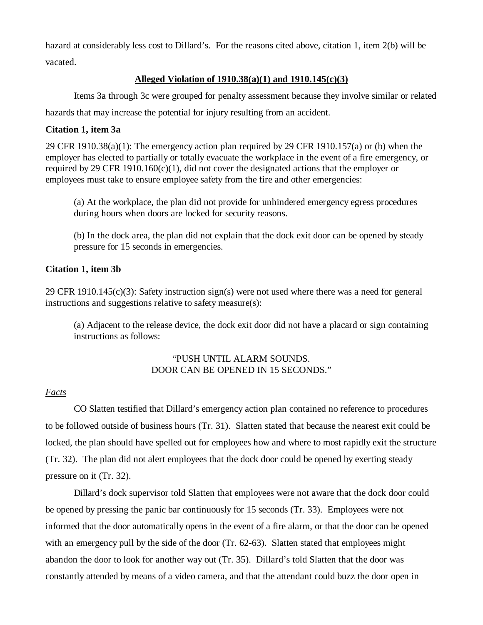hazard at considerably less cost to Dillard's. For the reasons cited above, citation 1, item 2(b) will be vacated.

# **Alleged Violation of 1910.38(a)(1) and 1910.145(c)(3)**

Items 3a through 3c were grouped for penalty assessment because they involve similar or related hazards that may increase the potential for injury resulting from an accident.

## **Citation 1, item 3a**

29 CFR 1910.38(a)(1): The emergency action plan required by 29 CFR 1910.157(a) or (b) when the employer has elected to partially or totally evacuate the workplace in the event of a fire emergency, or required by 29 CFR 1910.160 $(c)(1)$ , did not cover the designated actions that the employer or employees must take to ensure employee safety from the fire and other emergencies:

(a) At the workplace, the plan did not provide for unhindered emergency egress procedures during hours when doors are locked for security reasons.

(b) In the dock area, the plan did not explain that the dock exit door can be opened by steady pressure for 15 seconds in emergencies.

# **Citation 1, item 3b**

29 CFR 1910.145(c)(3): Safety instruction sign(s) were not used where there was a need for general instructions and suggestions relative to safety measure(s):

(a) Adjacent to the release device, the dock exit door did not have a placard or sign containing instructions as follows:

## "PUSH UNTIL ALARM SOUNDS. DOOR CAN BE OPENED IN 15 SECONDS."

## *Facts*

CO Slatten testified that Dillard's emergency action plan contained no reference to procedures to be followed outside of business hours (Tr. 31). Slatten stated that because the nearest exit could be locked, the plan should have spelled out for employees how and where to most rapidly exit the structure (Tr. 32). The plan did not alert employees that the dock door could be opened by exerting steady pressure on it (Tr. 32).

Dillard's dock supervisor told Slatten that employees were not aware that the dock door could be opened by pressing the panic bar continuously for 15 seconds (Tr. 33). Employees were not informed that the door automatically opens in the event of a fire alarm, or that the door can be opened with an emergency pull by the side of the door (Tr. 62-63). Slatten stated that employees might abandon the door to look for another way out (Tr. 35). Dillard's told Slatten that the door was constantly attended by means of a video camera, and that the attendant could buzz the door open in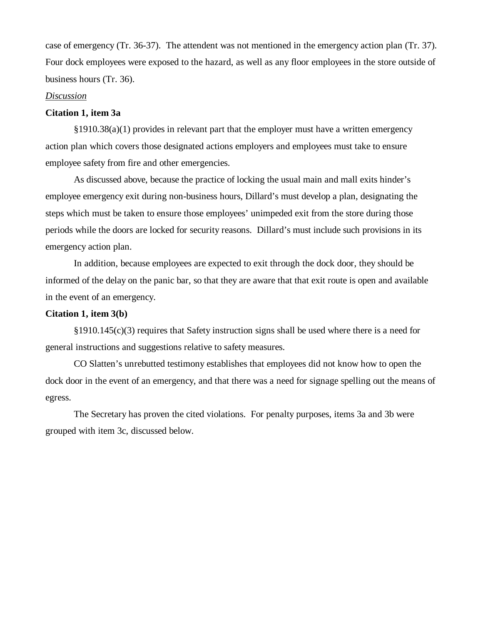case of emergency (Tr. 36-37). The attendent was not mentioned in the emergency action plan (Tr. 37). Four dock employees were exposed to the hazard, as well as any floor employees in the store outside of business hours (Tr. 36).

### *Discussion*

#### **Citation 1, item 3a**

§1910.38(a)(1) provides in relevant part that the employer must have a written emergency action plan which covers those designated actions employers and employees must take to ensure employee safety from fire and other emergencies.

As discussed above, because the practice of locking the usual main and mall exits hinder's employee emergency exit during non-business hours, Dillard's must develop a plan, designating the steps which must be taken to ensure those employees' unimpeded exit from the store during those periods while the doors are locked for security reasons. Dillard's must include such provisions in its emergency action plan.

In addition, because employees are expected to exit through the dock door, they should be informed of the delay on the panic bar, so that they are aware that that exit route is open and available in the event of an emergency.

### **Citation 1, item 3(b)**

§1910.145(c)(3) requires that Safety instruction signs shall be used where there is a need for general instructions and suggestions relative to safety measures.

CO Slatten's unrebutted testimony establishes that employees did not know how to open the dock door in the event of an emergency, and that there was a need for signage spelling out the means of egress.

The Secretary has proven the cited violations. For penalty purposes, items 3a and 3b were grouped with item 3c, discussed below.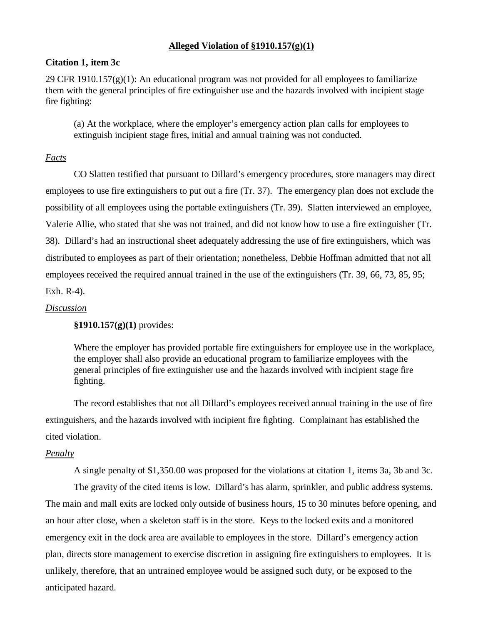## **Alleged Violation of §1910.157(g)(1)**

## **Citation 1, item 3c**

29 CFR 1910.157 $(g)(1)$ : An educational program was not provided for all employees to familiarize them with the general principles of fire extinguisher use and the hazards involved with incipient stage fire fighting:

(a) At the workplace, where the employer's emergency action plan calls for employees to extinguish incipient stage fires, initial and annual training was not conducted.

## *Facts*

CO Slatten testified that pursuant to Dillard's emergency procedures, store managers may direct employees to use fire extinguishers to put out a fire (Tr. 37). The emergency plan does not exclude the possibility of all employees using the portable extinguishers (Tr. 39). Slatten interviewed an employee, Valerie Allie, who stated that she was not trained, and did not know how to use a fire extinguisher (Tr. 38). Dillard's had an instructional sheet adequately addressing the use of fire extinguishers, which was distributed to employees as part of their orientation; nonetheless, Debbie Hoffman admitted that not all employees received the required annual trained in the use of the extinguishers (Tr. 39, 66, 73, 85, 95;

Exh. R-4).

## *Discussion*

## **§1910.157(g)(1)** provides:

Where the employer has provided portable fire extinguishers for employee use in the workplace, the employer shall also provide an educational program to familiarize employees with the general principles of fire extinguisher use and the hazards involved with incipient stage fire fighting.

The record establishes that not all Dillard's employees received annual training in the use of fire extinguishers, and the hazards involved with incipient fire fighting. Complainant has established the cited violation.

### *Penalty*

A single penalty of \$1,350.00 was proposed for the violations at citation 1, items 3a, 3b and 3c. The gravity of the cited items is low. Dillard's has alarm, sprinkler, and public address systems. The main and mall exits are locked only outside of business hours, 15 to 30 minutes before opening, and an hour after close, when a skeleton staff is in the store. Keys to the locked exits and a monitored emergency exit in the dock area are available to employees in the store. Dillard's emergency action plan, directs store management to exercise discretion in assigning fire extinguishers to employees. It is unlikely, therefore, that an untrained employee would be assigned such duty, or be exposed to the anticipated hazard.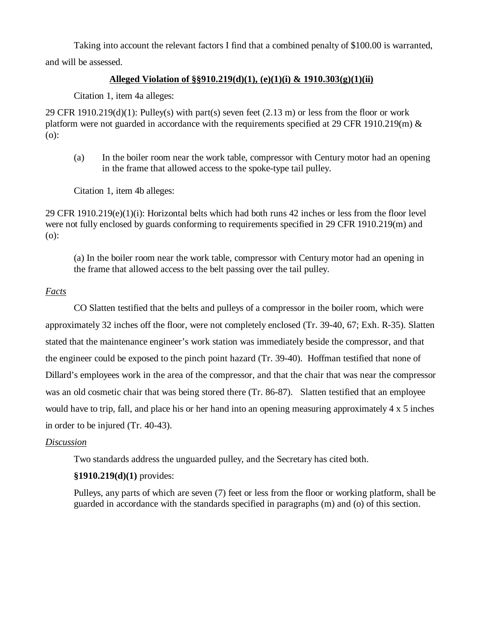Taking into account the relevant factors I find that a combined penalty of \$100.00 is warranted, and will be assessed.

# **Alleged Violation of §§910.219(d)(1), (e)(1)(i) & 1910.303(g)(1)(ii)**

Citation 1, item 4a alleges:

29 CFR 1910.219(d)(1): Pulley(s) with part(s) seven feet  $(2.13 \text{ m})$  or less from the floor or work platform were not guarded in accordance with the requirements specified at 29 CFR 1910.219(m)  $\&$ (o):

(a) In the boiler room near the work table, compressor with Century motor had an opening in the frame that allowed access to the spoke-type tail pulley.

Citation 1, item 4b alleges:

29 CFR 1910.219(e)(1)(i): Horizontal belts which had both runs 42 inches or less from the floor level were not fully enclosed by guards conforming to requirements specified in 29 CFR 1910.219(m) and (o):

(a) In the boiler room near the work table, compressor with Century motor had an opening in the frame that allowed access to the belt passing over the tail pulley.

# *Facts*

CO Slatten testified that the belts and pulleys of a compressor in the boiler room, which were approximately 32 inches off the floor, were not completely enclosed (Tr. 39-40, 67; Exh. R-35). Slatten stated that the maintenance engineer's work station was immediately beside the compressor, and that the engineer could be exposed to the pinch point hazard (Tr. 39-40). Hoffman testified that none of Dillard's employees work in the area of the compressor, and that the chair that was near the compressor was an old cosmetic chair that was being stored there (Tr. 86-87). Slatten testified that an employee would have to trip, fall, and place his or her hand into an opening measuring approximately 4 x 5 inches in order to be injured (Tr. 40-43).

## *Discussion*

Two standards address the unguarded pulley, and the Secretary has cited both.

# **§1910.219(d)(1)** provides:

Pulleys, any parts of which are seven (7) feet or less from the floor or working platform, shall be guarded in accordance with the standards specified in paragraphs (m) and (o) of this section.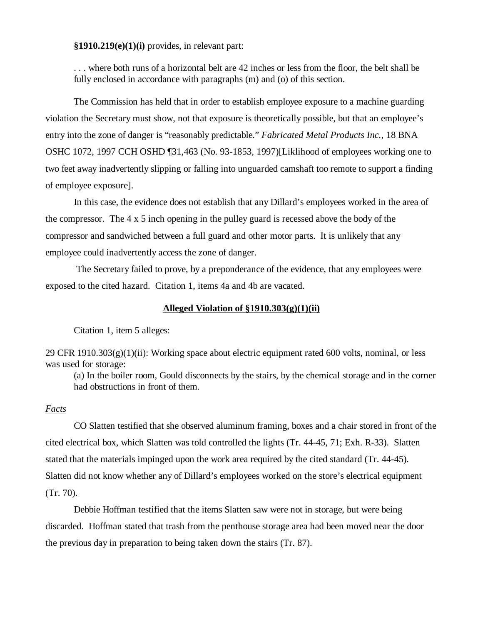**§1910.219(e)(1)(i)** provides, in relevant part:

. . . where both runs of a horizontal belt are 42 inches or less from the floor, the belt shall be fully enclosed in accordance with paragraphs (m) and (o) of this section.

The Commission has held that in order to establish employee exposure to a machine guarding violation the Secretary must show, not that exposure is theoretically possible, but that an employee's entry into the zone of danger is "reasonably predictable." *Fabricated Metal Products Inc.,* 18 BNA OSHC 1072, 1997 CCH OSHD ¶31,463 (No. 93-1853, 1997)[Liklihood of employees working one to two feet away inadvertently slipping or falling into unguarded camshaft too remote to support a finding of employee exposure].

In this case, the evidence does not establish that any Dillard's employees worked in the area of the compressor. The 4 x 5 inch opening in the pulley guard is recessed above the body of the compressor and sandwiched between a full guard and other motor parts. It is unlikely that any employee could inadvertently access the zone of danger.

 The Secretary failed to prove, by a preponderance of the evidence, that any employees were exposed to the cited hazard. Citation 1, items 4a and 4b are vacated.

### **Alleged Violation of §1910.303(g)(1)(ii)**

Citation 1, item 5 alleges:

 $29$  CFR  $1910.303(g)(1)(ii)$ : Working space about electric equipment rated 600 volts, nominal, or less was used for storage:

(a) In the boiler room, Gould disconnects by the stairs, by the chemical storage and in the corner had obstructions in front of them.

#### *Facts*

CO Slatten testified that she observed aluminum framing, boxes and a chair stored in front of the cited electrical box, which Slatten was told controlled the lights (Tr. 44-45, 71; Exh. R-33). Slatten stated that the materials impinged upon the work area required by the cited standard (Tr. 44-45). Slatten did not know whether any of Dillard's employees worked on the store's electrical equipment (Tr. 70).

Debbie Hoffman testified that the items Slatten saw were not in storage, but were being discarded. Hoffman stated that trash from the penthouse storage area had been moved near the door the previous day in preparation to being taken down the stairs (Tr. 87).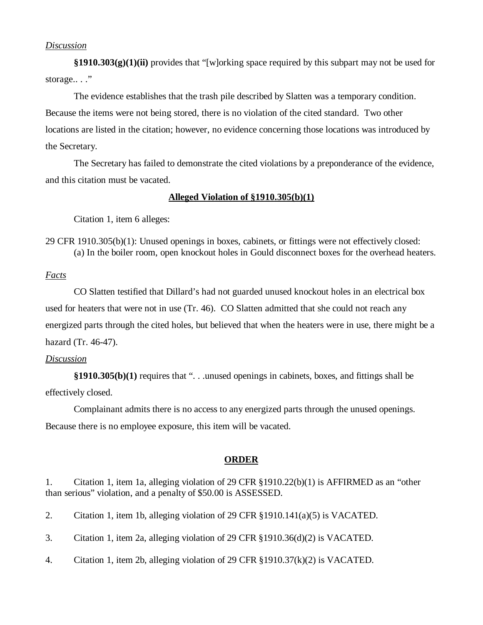### *Discussion*

**§1910.303(g)(1)(ii)** provides that "[w]orking space required by this subpart may not be used for storage..."

The evidence establishes that the trash pile described by Slatten was a temporary condition. Because the items were not being stored, there is no violation of the cited standard. Two other locations are listed in the citation; however, no evidence concerning those locations was introduced by the Secretary.

The Secretary has failed to demonstrate the cited violations by a preponderance of the evidence, and this citation must be vacated.

### **Alleged Violation of §1910.305(b)(1)**

Citation 1, item 6 alleges:

29 CFR 1910.305(b)(1): Unused openings in boxes, cabinets, or fittings were not effectively closed: (a) In the boiler room, open knockout holes in Gould disconnect boxes for the overhead heaters.

## *Facts*

CO Slatten testified that Dillard's had not guarded unused knockout holes in an electrical box used for heaters that were not in use (Tr. 46). CO Slatten admitted that she could not reach any energized parts through the cited holes, but believed that when the heaters were in use, there might be a hazard (Tr. 46-47).

## *Discussion*

**§1910.305(b)(1)** requires that ". . .unused openings in cabinets, boxes, and fittings shall be effectively closed.

Complainant admits there is no access to any energized parts through the unused openings. Because there is no employee exposure, this item will be vacated.

### **ORDER**

1. Citation 1, item 1a, alleging violation of 29 CFR §1910.22(b)(1) is AFFIRMED as an "other than serious" violation, and a penalty of \$50.00 is ASSESSED.

2. Citation 1, item 1b, alleging violation of 29 CFR §1910.141(a)(5) is VACATED.

3. Citation 1, item 2a, alleging violation of 29 CFR §1910.36(d)(2) is VACATED.

4. Citation 1, item 2b, alleging violation of 29 CFR §1910.37(k)(2) is VACATED.